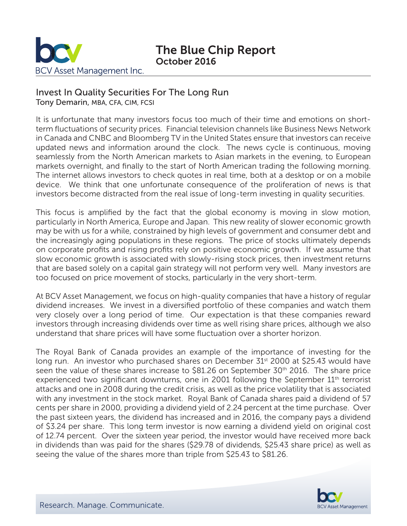

# The Blue Chip Report October 2016

### Invest In Quality Securities For The Long Run

Tony Demarin, MBA, CFA, CIM, FCSI

It is unfortunate that many investors focus too much of their time and emotions on shortterm fluctuations of security prices. Financial television channels like Business News Network in Canada and CNBC and Bloomberg TV in the United States ensure that investors can receive updated news and information around the clock. The news cycle is continuous, moving seamlessly from the North American markets to Asian markets in the evening, to European markets overnight, and finally to the start of North American trading the following morning. The internet allows investors to check quotes in real time, both at a desktop or on a mobile device. We think that one unfortunate consequence of the proliferation of news is that investors become distracted from the real issue of long-term investing in quality securities.

This focus is amplified by the fact that the global economy is moving in slow motion, particularly in North America, Europe and Japan. This new reality of slower economic growth may be with us for a while, constrained by high levels of government and consumer debt and the increasingly aging populations in these regions. The price of stocks ultimately depends on corporate profits and rising profits rely on positive economic growth. If we assume that slow economic growth is associated with slowly-rising stock prices, then investment returns that are based solely on a capital gain strategy will not perform very well. Many investors are too focused on price movement of stocks, particularly in the very short-term.

At BCV Asset Management, we focus on high-quality companies that have a history of regular dividend increases. We invest in a diversified portfolio of these companies and watch them very closely over a long period of time. Our expectation is that these companies reward investors through increasing dividends over time as well rising share prices, although we also understand that share prices will have some fluctuation over a shorter horizon.

The Royal Bank of Canada provides an example of the importance of investing for the long run. An investor who purchased shares on December 31<sup>st</sup> 2000 at \$25.43 would have seen the value of these shares increase to \$81.26 on September 30<sup>th</sup> 2016. The share price experienced two significant downturns, one in 2001 following the September 11<sup>th</sup> terrorist attacks and one in 2008 during the credit crisis, as well as the price volatility that is associated with any investment in the stock market. Royal Bank of Canada shares paid a dividend of 57 cents per share in 2000, providing a dividend yield of 2.24 percent at the time purchase. Over the past sixteen years, the dividend has increased and in 2016, the company pays a dividend of \$3.24 per share. This long term investor is now earning a dividend yield on original cost of 12.74 percent. Over the sixteen year period, the investor would have received more back in dividends than was paid for the shares (\$29.78 of dividends, \$25.43 share price) as well as seeing the value of the shares more than triple from \$25.43 to \$81.26.

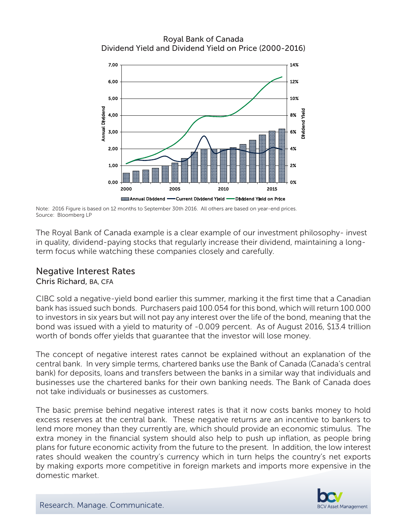Royal Bank of Canada Dividend Yield and Dividend Yield on Price (2000-2016)



Note: 2016 Figure is based on 12 months to September 30th 2016. All others are based on year-end prices. Source: Bloomberg LP

The Royal Bank of Canada example is a clear example of our investment philosophy- invest in quality, dividend-paying stocks that regularly increase their dividend, maintaining a longterm focus while watching these companies closely and carefully.

# Negative Interest Rates

Chris Richard, BA, CFA

CIBC sold a negative-yield bond earlier this summer, marking it the first time that a Canadian bank has issued such bonds. Purchasers paid 100.054 for this bond, which will return 100.000 to investors in six years but will not pay any interest over the life of the bond, meaning that the bond was issued with a yield to maturity of -0.009 percent. As of August 2016, \$13.4 trillion worth of bonds offer yields that guarantee that the investor will lose money.

The concept of negative interest rates cannot be explained without an explanation of the central bank. In very simple terms, chartered banks use the Bank of Canada (Canada's central bank) for deposits, loans and transfers between the banks in a similar way that individuals and businesses use the chartered banks for their own banking needs. The Bank of Canada does not take individuals or businesses as customers.

The basic premise behind negative interest rates is that it now costs banks money to hold excess reserves at the central bank. These negative returns are an incentive to bankers to lend more money than they currently are, which should provide an economic stimulus. The extra money in the financial system should also help to push up inflation, as people bring plans for future economic activity from the future to the present. In addition, the low interest rates should weaken the country's currency which in turn helps the country's net exports by making exports more competitive in foreign markets and imports more expensive in the domestic market.

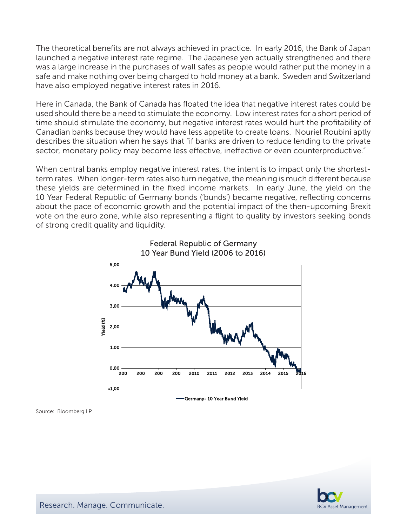The theoretical benefits are not always achieved in practice. In early 2016, the Bank of Japan launched a negative interest rate regime. The Japanese yen actually strengthened and there was a large increase in the purchases of wall safes as people would rather put the money in a safe and make nothing over being charged to hold money at a bank. Sweden and Switzerland have also employed negative interest rates in 2016.

Here in Canada, the Bank of Canada has floated the idea that negative interest rates could be used should there be a need to stimulate the economy. Low interest rates for a short period of time should stimulate the economy, but negative interest rates would hurt the profitability of Canadian banks because they would have less appetite to create loans. Nouriel Roubini aptly describes the situation when he says that "if banks are driven to reduce lending to the private sector, monetary policy may become less effective, ineffective or even counterproductive."

When central banks employ negative interest rates, the intent is to impact only the shortestterm rates. When longer-term rates also turn negative, the meaning is much different because these yields are determined in the fixed income markets. In early June, the yield on the 10 Year Federal Republic of Germany bonds ('bunds') became negative, reflecting concerns about the pace of economic growth and the potential impact of the then-upcoming Brexit vote on the euro zone, while also representing a flight to quality by investors seeking bonds of strong credit quality and liquidity.





Source: Bloomberg LP

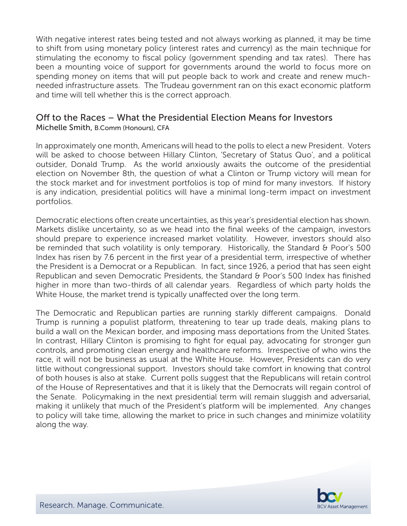With negative interest rates being tested and not always working as planned, it may be time to shift from using monetary policy (interest rates and currency) as the main technique for stimulating the economy to fiscal policy (government spending and tax rates). There has been a mounting voice of support for governments around the world to focus more on spending money on items that will put people back to work and create and renew muchneeded infrastructure assets. The Trudeau government ran on this exact economic platform and time will tell whether this is the correct approach.

## Off to the Races – What the Presidential Election Means for Investors

Michelle Smith, B.Comm (Honours), CFA

In approximately one month, Americans will head to the polls to elect a new President. Voters will be asked to choose between Hillary Clinton, 'Secretary of Status Quo', and a political outsider, Donald Trump. As the world anxiously awaits the outcome of the presidential election on November 8th, the question of what a Clinton or Trump victory will mean for the stock market and for investment portfolios is top of mind for many investors. If history is any indication, presidential politics will have a minimal long-term impact on investment portfolios.

Democratic elections often create uncertainties, as this year's presidential election has shown. Markets dislike uncertainty, so as we head into the final weeks of the campaign, investors should prepare to experience increased market volatility. However, investors should also be reminded that such volatility is only temporary. Historically, the Standard & Poor's 500 Index has risen by 7.6 percent in the first year of a presidential term, irrespective of whether the President is a Democrat or a Republican. In fact, since 1926, a period that has seen eight Republican and seven Democratic Presidents, the Standard & Poor's 500 Index has finished higher in more than two-thirds of all calendar years. Regardless of which party holds the White House, the market trend is typically unaffected over the long term.

The Democratic and Republican parties are running starkly different campaigns. Donald Trump is running a populist platform, threatening to tear up trade deals, making plans to build a wall on the Mexican border, and imposing mass deportations from the United States. In contrast, Hillary Clinton is promising to fight for equal pay, advocating for stronger gun controls, and promoting clean energy and healthcare reforms. Irrespective of who wins the race, it will not be business as usual at the White House. However, Presidents can do very little without congressional support. Investors should take comfort in knowing that control of both houses is also at stake. Current polls suggest that the Republicans will retain control of the House of Representatives and that it is likely that the Democrats will regain control of the Senate. Policymaking in the next presidential term will remain sluggish and adversarial, making it unlikely that much of the President's platform will be implemented. Any changes to policy will take time, allowing the market to price in such changes and minimize volatility along the way.